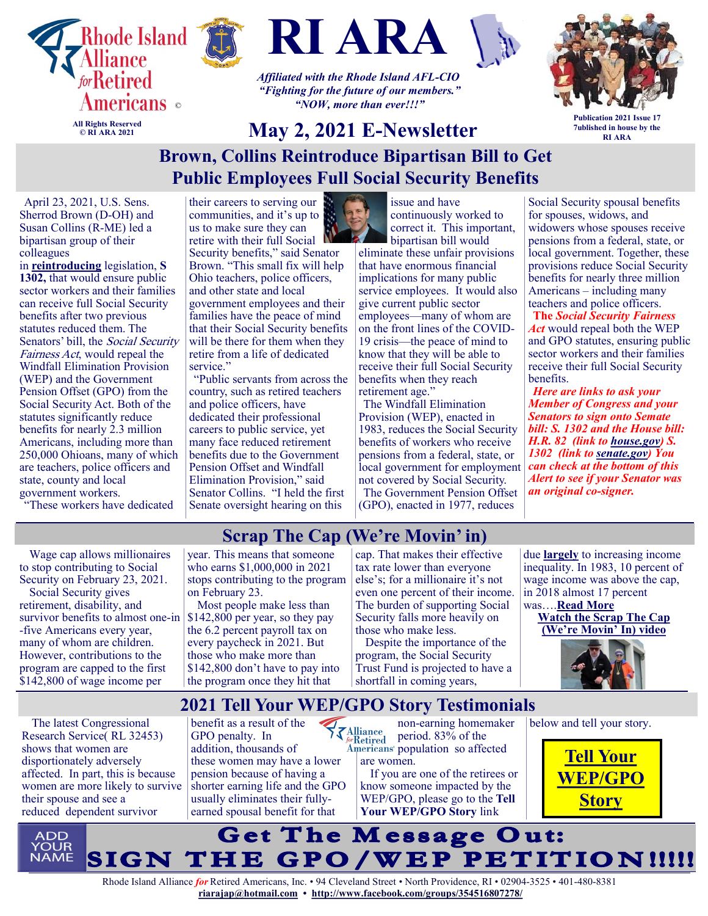

**© RI ARA 2021**





*Affiliated with the Rhode Island AFL-CIO "Fighting for the future of our members." "NOW, more than ever!!!"*



**Publication 2021 Issue 17 7ublished in house by the RI ARA**

## **May 2, 2021 E-Newsletter Brown, Collins Reintroduce Bipartisan Bill to Get Public Employees Full Social Security Benefits**

April 23, 2021, U.S. Sens. Sherrod Brown (D-OH) and Susan Collins (R-ME) led a bipartisan group of their colleagues

in **[reintroducing](https://www.brown.senate.gov/newsroom/press/release/brown-collins-baldwin-and-murkowski-introduce-bipartisan-bill-to-support-police-officers-teachers-)** legislation, **S 1302,** that would ensure public sector workers and their families can receive full Social Security benefits after two previous statutes reduced them. The Senators' bill, the Social Security Fairness Act, would repeal the Windfall Elimination Provision (WEP) and the Government Pension Offset (GPO) from the Social Security Act. Both of the statutes significantly reduce benefits for nearly 2.3 million Americans, including more than 250,000 Ohioans, many of which are teachers, police officers and state, county and local government workers.

"These workers have dedicated

their careers to serving our communities, and it's up to us to make sure they can retire with their full Social Security benefits," said Senator Brown. "This small fix will help Ohio teachers, police officers, and other state and local government employees and their

families have the peace of mind that their Social Security benefits will be there for them when they retire from a life of dedicated service."

"Public servants from across the country, such as retired teachers and police officers, have dedicated their professional careers to public service, yet many face reduced retirement benefits due to the Government Pension Offset and Windfall Elimination Provision," said Senator Collins. "I held the first Senate oversight hearing on this



issue and have continuously worked to correct it. This important, bipartisan bill would

eliminate these unfair provisions that have enormous financial implications for many public service employees. It would also give current public sector employees—many of whom are on the front lines of the COVID-19 crisis—the peace of mind to know that they will be able to receive their full Social Security benefits when they reach retirement age."

The Windfall Elimination Provision (WEP), enacted in 1983, reduces the Social Security benefits of workers who receive pensions from a federal, state, or local government for employment not covered by Social Security. The Government Pension Offset (GPO), enacted in 1977, reduces

for spouses, widows, and widowers whose spouses receive pensions from a federal, state, or local government. Together, these provisions reduce Social Security benefits for nearly three million Americans – including many teachers and police officers. **The** *Social Security Fairness Act* would repeal both the WEP and GPO statutes, ensuring public sector workers and their families receive their full Social Security benefits.

Social Security spousal benefits

*Here are links to ask your Member of Congress and your Senators to sign onto Semate bill: S. 1302 and the House bill: H.R. 82 (link to [house.gov\)](http://house.gov/) S. 1302 (link to [senate.gov\)](http://senate.gov/) You can check at the bottom of this Alert to see if your Senator was an original co-signer.* 

Wage cap allows millionaires to stop contributing to Social Security on February 23, 2021.

Social Security gives retirement, disability, and survivor benefits to almost one-in -five Americans every year, many of whom are children. However, contributions to the program are capped to the first \$142,800 of wage income per

**Scrap The Cap (We're Movin' in)**  year. This means that someone who earns \$1,000,000 in 2021 stops contributing to the program on February 23.

Most people make less than \$142,800 per year, so they pay the 6.2 percent payroll tax on every paycheck in 2021. But those who make more than \$142,800 don't have to pay into the program once they hit that

cap. That makes their effective tax rate lower than everyone else's; for a millionaire it's not even one percent of their income. The burden of supporting Social Security falls more heavily on those who make less.

Despite the importance of the program, the Social Security Trust Fund is projected to have a shortfall in coming years,

due **[largely](https://cepr.net/the-impact-of-upward-redistribution-on-social-security-solvency-2020-update/)** to increasing income inequality. In 1983, 10 percent of wage income was above the cap, in 2018 almost 17 percent

was….**[Read More](https://www.commondreams.org/views/2021/02/23/scrap-cap-today-day-millionaires-and-billionaires-stop-paying-social-security) [Watch the Scrap The Cap](https://www.bing.com/videos/search?q=scrap+the+cap+we%27re+movin+in&docid=608000032980932243&mid=4C9CCEE2DDCD2530A9A54C9CCEE2DDCD2530A9A5&view=detail&FORM=VIRE)  [\(We're Movin' In\) video](https://www.bing.com/videos/search?q=scrap+the+cap+we%27re+movin+in&docid=608000032980932243&mid=4C9CCEE2DDCD2530A9A54C9CCEE2DDCD2530A9A5&view=detail&FORM=VIRE)**



**2021 Tell Your WEP/GPO Story Testimonials** 

The latest Congressional Research Service( RL 32453) shows that women are disportionately adversely affected. In part, this is because women are more likely to survive their spouse and see a reduced dependent survivor

benefit as a result of the GPO penalty. In addition, thousands of these women may have a lower pension because of having a shorter earning life and the GPO usually eliminates their fullyearned spousal benefit for that

non-earning homemaker  $\left\{\sum_{\substack{\text{forRetired }\atop\text{Americans}}}$ period. 83% of the Americans<sup>®</sup> population so affected are women.

> If you are one of the retirees or know someone impacted by the WEP/GPO, please go to the **Tell Your WEP/GPO Story** link



**[Story](https://docs.google.com/forms/d/e/1FAIpQLSfRTxb2UV5eiSZ-Qner_ZMafJH3Yfo0OxKwIOsVf3WlyUAa2g/viewform)**

below and tell your story.

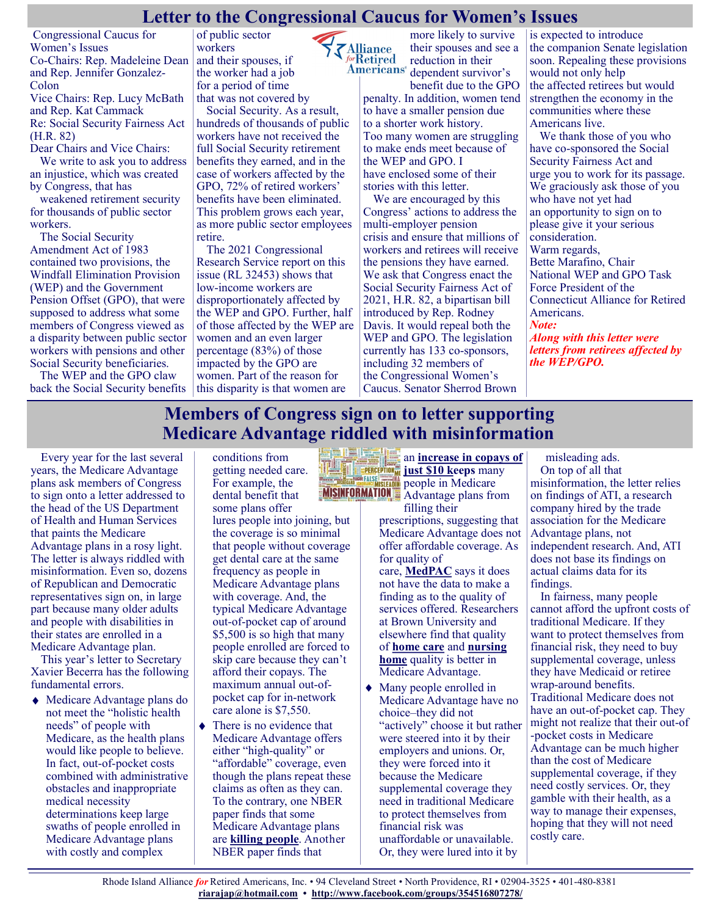#### **Letter to the Congressional Caucus for Women's Issues**

**ZAlliance** 

Congressional Caucus for Women's Issues Co-Chairs: Rep. Madeleine Dean and Rep. Jennifer Gonzalez-Colon Vice Chairs: Rep. Lucy McBath and Rep. Kat Cammack Re: Social Security Fairness Act (H.R. 82)

Dear Chairs and Vice Chairs: We write to ask you to address an injustice, which was created by Congress, that has

weakened retirement security for thousands of public sector workers.

The Social Security Amendment Act of 1983 contained two provisions, the Windfall Elimination Provision (WEP) and the Government Pension Offset (GPO), that were supposed to address what some members of Congress viewed as a disparity between public sector workers with pensions and other Social Security beneficiaries.

The WEP and the GPO claw back the Social Security benefits

of public sector workers and their spouses, if the worker had a job for a period of time that was not covered by

Social Security. As a result, hundreds of thousands of public workers have not received the full Social Security retirement benefits they earned, and in the case of workers affected by the GPO, 72% of retired workers' benefits have been eliminated. This problem grows each year, as more public sector employees retire.

The 2021 Congressional Research Service report on this issue (RL 32453) shows that low-income workers are disproportionately affected by the WEP and GPO. Further, half of those affected by the WEP are women and an even larger percentage (83%) of those impacted by the GPO are women. Part of the reason for this disparity is that women are

more likely to survive their spouses and see a forRetired reduction in their **Americans**<sup>®</sup> dependent survivor's

benefit due to the GPO penalty. In addition, women tend to have a smaller pension due to a shorter work history. Too many women are struggling to make ends meet because of the WEP and GPO. I have enclosed some of their stories with this letter.

We are encouraged by this Congress' actions to address the multi-employer pension crisis and ensure that millions of workers and retirees will receive the pensions they have earned. We ask that Congress enact the Social Security Fairness Act of 2021, H.R. 82, a bipartisan bill introduced by Rep. Rodney Davis. It would repeal both the WEP and GPO. The legislation currently has 133 co-sponsors, including 32 members of the Congressional Women's Caucus. Senator Sherrod Brown

is expected to introduce the companion Senate legislation soon. Repealing these provisions would not only help the affected retirees but would strengthen the economy in the communities where these Americans live.

We thank those of you who have co-sponsored the Social Security Fairness Act and urge you to work for its passage. We graciously ask those of you who have not yet had an opportunity to sign on to please give it your serious consideration. Warm regards, Bette Marafino, Chair National WEP and GPO Task Force President of the Connecticut Alliance for Retired Americans. *Note: Along with this letter were letters from retirees affected by* 

*the WEP/GPO.*

### **Members of Congress sign on to letter supporting Medicare Advantage riddled with misinformation**

Every year for the last several years, the Medicare Advantage plans ask members of Congress to sign onto a letter addressed to the head of the US Department of Health and Human Services that paints the Medicare Advantage plans in a rosy light. The letter is always riddled with misinformation. Even so, dozens of Republican and Democratic representatives sign on, in large part because many older adults and people with disabilities in their states are enrolled in a Medicare Advantage plan.

This year's letter to Secretary Xavier Becerra has the following fundamental errors.

Medicare Advantage plans do not meet the "holistic health needs" of people with Medicare, as the health plans would like people to believe. In fact, out-of-pocket costs combined with administrative obstacles and inappropriate medical necessity determinations keep large swaths of people enrolled in Medicare Advantage plans with costly and complex

conditions from getting needed care. For example, the dental benefit that some plans offer lures people into joining, but the coverage is so minimal that people without coverage get dental care at the same frequency as people in Medicare Advantage plans with coverage. And, the typical Medicare Advantage out-of-pocket cap of around \$5,500 is so high that many people enrolled are forced to skip care because they can't afford their copays. The maximum annual out-ofpocket cap for in-network care alone is \$7,550.

There is no evidence that Medicare Advantage offers either "high-quality" or "affordable" coverage, even though the plans repeat these claims as often as they can. To the contrary, one NBER paper finds that some Medicare Advantage plans are **[killing people](https://justcareusa.org/the-wrong-choice-of-medicare-advantage-plan-could-kill-you/)**. Another NBER paper finds that

an **[increase in copays of](https://justcareusa.org/the-deadly-consequences-of-out-of-pocket-drug-costs/)  [just \\$10 keeps](https://justcareusa.org/the-deadly-consequences-of-out-of-pocket-drug-costs/)** many people in Medicare Advantage plans from

filling their prescriptions, suggesting that Medicare Advantage does not offer affordable coverage. As for quality of care, **[MedPAC](https://justcareusa.org/medpac-traditional-medicare-consistently-costs-less-than-medicare-advantage/)** says it does not have the data to make a finding as to the quality of services offered. Researchers at Brown University and elsewhere find that quality of **[home care](https://justcareusa.org/traditional-medicare-offers-better-home-care-benefits-than-medicare-advantage/)** and **[nursing](https://justcareusa.org/new-study-finds-medicare-advantage-plan-enrollees-end-up-in-lower-quality-nursing-homes-than-people-in-traditional-medicare/)  [home](https://justcareusa.org/new-study-finds-medicare-advantage-plan-enrollees-end-up-in-lower-quality-nursing-homes-than-people-in-traditional-medicare/)** quality is better in Medicare Advantage.

Many people enrolled in Medicare Advantage have no choice–they did not "actively" choose it but rather were steered into it by their employers and unions. Or, they were forced into it because the Medicare supplemental coverage they need in traditional Medicare to protect themselves from financial risk was unaffordable or unavailable. Or, they were lured into it by

misleading ads. On top of all that misinformation, the letter relies on findings of ATI, a research company hired by the trade association for the Medicare Advantage plans, not independent research. And, ATI does not base its findings on actual claims data for its findings.

In fairness, many people cannot afford the upfront costs of traditional Medicare. If they want to protect themselves from financial risk, they need to buy supplemental coverage, unless they have Medicaid or retiree wrap-around benefits. Traditional Medicare does not have an out-of-pocket cap. They might not realize that their out-of -pocket costs in Medicare Advantage can be much higher than the cost of Medicare supplemental coverage, if they need costly services. Or, they gamble with their health, as a way to manage their expenses, hoping that they will not need costly care.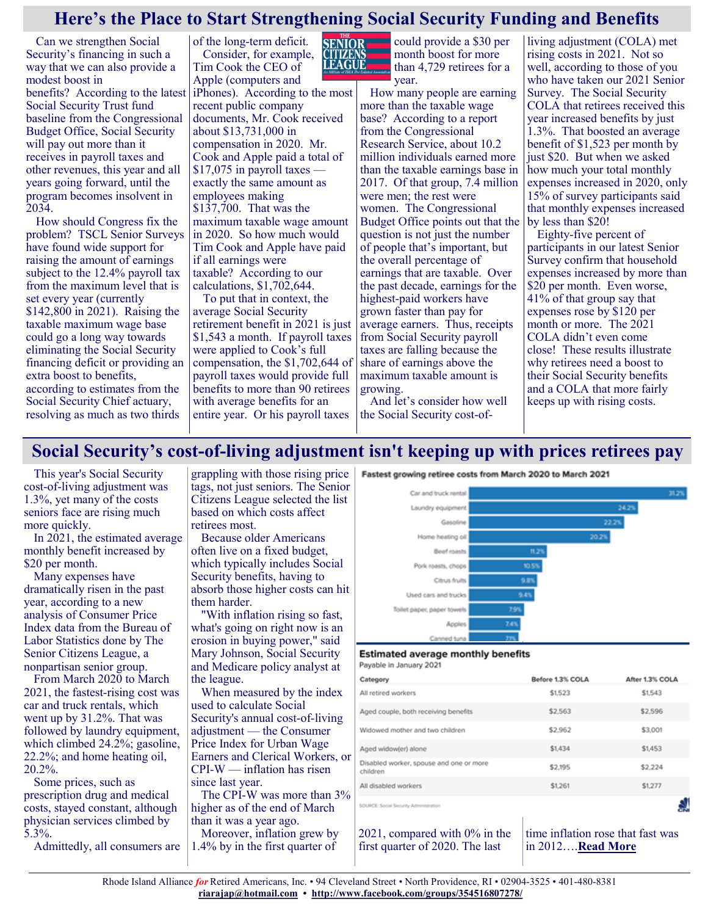#### **Here's the Place to Start Strengthening Social Security Funding and Benefits**

**LEAGUE** 

Can we strengthen Social Security's financing in such a way that we can also provide a modest boost in Social Security Trust fund baseline from the Congressional Budget Office, Social Security will pay out more than it receives in payroll taxes and other revenues, this year and all years going forward, until the program becomes insolvent in  $2034.$ 

How should Congress fix the problem? TSCL Senior Surveys have found wide support for raising the amount of earnings subject to the 12.4% payroll tax from the maximum level that is set every year (currently \$142,800 in 2021). Raising the taxable maximum wage base could go a long way towards eliminating the Social Security financing deficit or providing an extra boost to benefits, according to estimates from the Social Security Chief actuary, resolving as much as two thirds

of the long-term deficit. Consider, for example, Tim Cook the CEO of Apple (computers and

benefits? According to the latest iPhones). According to the most recent public company documents, Mr. Cook received about \$13,731,000 in compensation in 2020. Mr. Cook and Apple paid a total of \$17,075 in payroll taxes exactly the same amount as employees making \$137,700. That was the maximum taxable wage amount in 2020. So how much would Tim Cook and Apple have paid if all earnings were taxable? According to our calculations, \$1,702,644.

To put that in context, the average Social Security retirement benefit in 2021 is just \$1,543 a month. If payroll taxes were applied to Cook's full compensation, the \$1,702,644 of payroll taxes would provide full benefits to more than 90 retirees with average benefits for an entire year. Or his payroll taxes

**SENIOR** could provide a \$30 per month boost for more than 4,729 retirees for a year.

> How many people are earning more than the taxable wage base? According to a report from the Congressional Research Service, about 10.2 million individuals earned more than the taxable earnings base in 2017. Of that group, 7.4 million were men; the rest were women. The Congressional Budget Office points out that the question is not just the number of people that's important, but the overall percentage of earnings that are taxable. Over the past decade, earnings for the highest-paid workers have grown faster than pay for average earners. Thus, receipts from Social Security payroll taxes are falling because the share of earnings above the maximum taxable amount is growing.

And let's consider how well the Social Security cost-of-

living adjustment (COLA) met rising costs in 2021. Not so well, according to those of you who have taken our 2021 Senior Survey. The Social Security COLA that retirees received this year increased benefits by just 1.3%. That boosted an average benefit of \$1,523 per month by just \$20. But when we asked how much your total monthly expenses increased in 2020, only 15% of survey participants said that monthly expenses increased by less than \$20!

Eighty-five percent of participants in our latest Senior Survey confirm that household expenses increased by more than \$20 per month. Even worse, 41% of that group say that expenses rose by \$120 per month or more. The 2021 COLA didn't even come close! These results illustrate why retirees need a boost to their Social Security benefits and a COLA that more fairly keeps up with rising costs.

#### **Social Security's cost-of-living adjustment isn't keeping up with prices retirees pay**

This year's Social Security cost-of-living adjustment was 1.3%, yet many of the costs seniors face are rising much more quickly.

In 2021, the estimated average monthly benefit increased by \$20 per month.

Many expenses have dramatically risen in the past year, according to a new analysis of Consumer Price Index data from the Bureau of Labor Statistics done by The Senior Citizens League, a nonpartisan senior group.

From March 2020 to March 2021, the fastest-rising cost was car and truck rentals, which went up by 31.2%. That was followed by laundry equipment, which climbed 24.2%; gasoline, 22.2%; and home heating oil, 20.2%.

Some prices, such as prescription drug and medical costs, stayed constant, although physician services climbed by 5.3%.

Admittedly, all consumers are

grappling with those rising price tags, not just seniors. The Senior Citizens League selected the list based on which costs affect retirees most.

Because older Americans often live on a fixed budget, which typically includes Social Security benefits, having to absorb those higher costs can hit them harder.

"With inflation rising so fast, what's going on right now is an erosion in buying power," said Mary Johnson, Social Security and Medicare policy analyst at the league.

When measured by the index used to calculate Social Security's annual cost-of-living adjustment — the Consumer Price Index for Urban Wage Earners and Clerical Workers, or CPI-W — inflation has risen since last year.

The CPI-W was more than 3% higher as of the end of March than it was a year ago.

Moreover, inflation grew by 1.4% by in the first quarter of



#### **Estimated average monthly benefits** Payable in January 2021

| Category                                            | Before 1.3% COLA | After 1.3% COLA |
|-----------------------------------------------------|------------------|-----------------|
| All retired workers                                 | \$1,523          | \$1,543         |
| Aged couple, both receiving benefits                | \$2,563          | \$2,596         |
| Widowed mother and two children                     | \$2,962          | \$3,001         |
| Aged widow(er) alone                                | \$1,434          | \$1,453         |
| Disabled worker, spouse and one or more<br>children | \$2,195          | \$2,224         |
| All disabled workers                                | \$1,261          | \$1,277         |
| SOURCE: Social Security Administration              |                  |                 |

2021, compared with 0% in the first quarter of 2020. The last

time inflation rose that fast was in 2012….**[Read More](https://www.msn.com/en-us/money/retirement/social-securitys-cost-of-living-adjustment-isnt-keeping-up-with-prices-retirees-pay/ar-BB1g6wYi?ocid=SK2DDHP&li=BBnb7Kz#image=3)**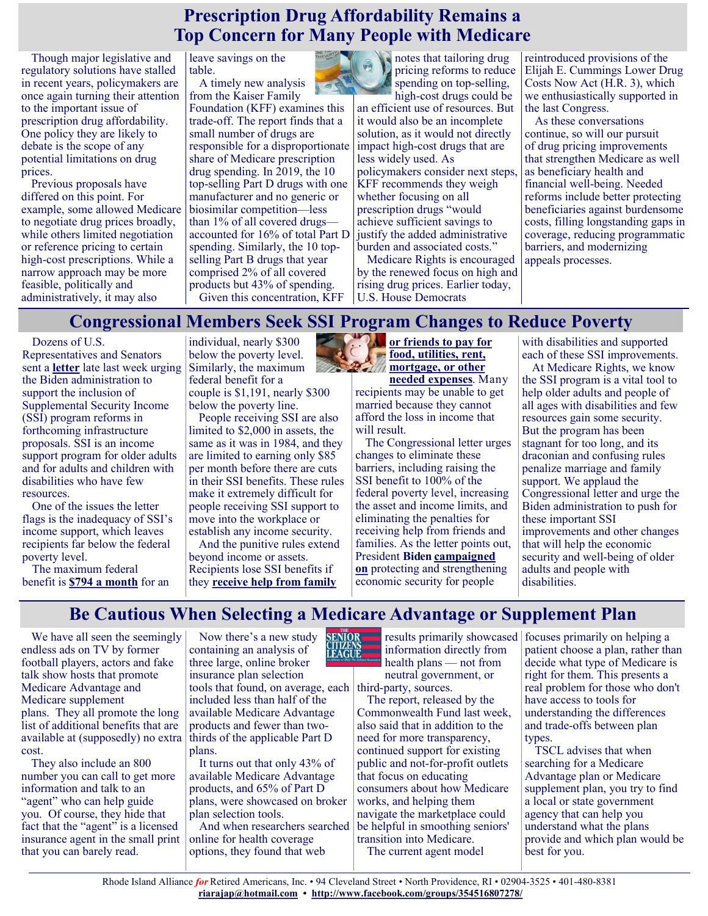#### **Prescription Drug Affordability Remains a Top Concern for Many People with Medicare**

Though major legislative and regulatory solutions have stalled in recent years, policymakers are once again turning their attention to the important issue of prescription drug affordability. One policy they are likely to debate is the scope of any potential limitations on drug prices.

Previous proposals have differed on this point. For example, some allowed Medicare to negotiate drug prices broadly, while others limited negotiation or reference pricing to certain high-cost prescriptions. While a narrow approach may be more feasible, politically and administratively, it may also

leave savings on the table.

A timely new analysis from the Kaiser Family

Foundation (KFF) examines this trade-off. The report finds that a small number of drugs are responsible for a disproportionate share of Medicare prescription drug spending. In 2019, the 10 top-selling Part D drugs with one manufacturer and no generic or biosimilar competition—less than 1% of all covered drugs accounted for 16% of total Part D spending. Similarly, the 10 topselling Part B drugs that year comprised 2% of all covered products but 43% of spending. Given this concentration, KFF



notes that tailoring drug pricing reforms to reduce spending on top-selling, high-cost drugs could be

an efficient use of resources. But it would also be an incomplete solution, as it would not directly impact high-cost drugs that are less widely used. As policymakers consider next steps, KFF recommends they weigh whether focusing on all prescription drugs "would achieve sufficient savings to justify the added administrative burden and associated costs."

Medicare Rights is encouraged by the renewed focus on high and rising drug prices. Earlier today, U.S. House Democrats

reintroduced provisions of the Elijah E. Cummings Lower Drug Costs Now Act (H.R. 3), which we enthusiastically supported in the last Congress.

As these conversations continue, so will our pursuit of drug pricing improvements that strengthen Medicare as well as beneficiary health and financial well-being. Needed reforms include better protecting beneficiaries against burdensome costs, filling longstanding gaps in coverage, reducing programmatic barriers, and modernizing appeals processes.

#### **Congressional Members Seek SSI Program Changes to Reduce Poverty**

Dozens of U.S.

Representatives and Senators sent a **[letter](https://bowman.house.gov/_cache/files/b/a/baebc065-38c0-45cd-bcfd-eaedad4c228d/2E60F47C388560A6676B9F80C9B0D938.ssi-letter-final.pdf)** late last week urging the Biden administration to support the inclusion of Supplemental Security Income (SSI) program reforms in forthcoming infrastructure proposals. SSI is an income support program for older adults and for adults and children with disabilities who have few resources.

One of the issues the letter flags is the inadequacy of SSI's income support, which leaves recipients far below the federal poverty level.

The maximum federal benefit is **[\\$794 a month](https://www.ssa.gov/oact/cola/SSIamts.html)** for an individual, nearly \$300 below the poverty level. Similarly, the maximum federal benefit for a couple is \$1,191, nearly \$300 below the poverty line.

People receiving SSI are also limited to \$2,000 in assets, the same as it was in 1984, and they are limited to earning only \$85 per month before there are cuts in their SSI benefits. These rules make it extremely difficult for people receiving SSI support to move into the workplace or establish any income security.

And the punitive rules extend beyond income or assets. Recipients lose SSI benefits if they **[receive help from family](https://www.ssa.gov/ssi/text-living-ussi.htm)** 

#### **[or friends to pay for](https://www.ssa.gov/ssi/text-living-ussi.htm)  [food, utilities, rent,](https://www.ssa.gov/ssi/text-living-ussi.htm)  [mortgage, or other](https://www.ssa.gov/ssi/text-living-ussi.htm)**   $\frac{1}{2}$

**[needed expenses](https://www.ssa.gov/ssi/text-living-ussi.htm)**. Many recipients may be unable to get married because they cannot afford the loss in income that will result.

The Congressional letter urges changes to eliminate these barriers, including raising the SSI benefit to 100% of the federal poverty level, increasing the asset and income limits, and eliminating the penalties for receiving help from friends and families. As the letter points out, President **Biden [campaigned](https://joebiden.com/disabilities/)  [on](https://joebiden.com/disabilities/)** protecting and strengthening economic security for people

with disabilities and supported each of these SSI improvements.

At Medicare Rights, we know the SSI program is a vital tool to help older adults and people of all ages with disabilities and few resources gain some security. But the program has been stagnant for too long, and its draconian and confusing rules penalize marriage and family support. We applaud the Congressional letter and urge the Biden administration to push for these important SSI improvements and other changes that will help the economic security and well-being of older adults and people with disabilities.

#### **Be Cautious When Selecting a Medicare Advantage or Supplement Plan**

We have all seen the seemingly endless ads on TV by former football players, actors and fake talk show hosts that promote Medicare Advantage and Medicare supplement plans. They all promote the long list of additional benefits that are available at (supposedly) no extra cost.

They also include an 800 number you can call to get more information and talk to an "agent" who can help guide you. Of course, they hide that fact that the "agent" is a licensed insurance agent in the small print that you can barely read.

Now there's a new study containing an analysis of three large, online broker insurance plan selection tools that found, on average, each third-party, sources. included less than half of the available Medicare Advantage products and fewer than twothirds of the applicable Part D plans.

It turns out that only 43% of available Medicare Advantage products, and 65% of Part D plans, were showcased on broker plan selection tools.

And when researchers searched online for health coverage options, they found that web



information directly from health plans — not from neutral government, or

The report, released by the Commonwealth Fund last week, also said that in addition to the need for more transparency, continued support for existing public and not-for-profit outlets that focus on educating consumers about how Medicare works, and helping them navigate the marketplace could be helpful in smoothing seniors' transition into Medicare.

The current agent model

results primarily showcased focuses primarily on helping a patient choose a plan, rather than decide what type of Medicare is right for them. This presents a real problem for those who don't have access to tools for understanding the differences and trade-offs between plan types.

TSCL advises that when searching for a Medicare Advantage plan or Medicare supplement plan, you try to find a local or state government agency that can help you understand what the plans provide and which plan would be best for you.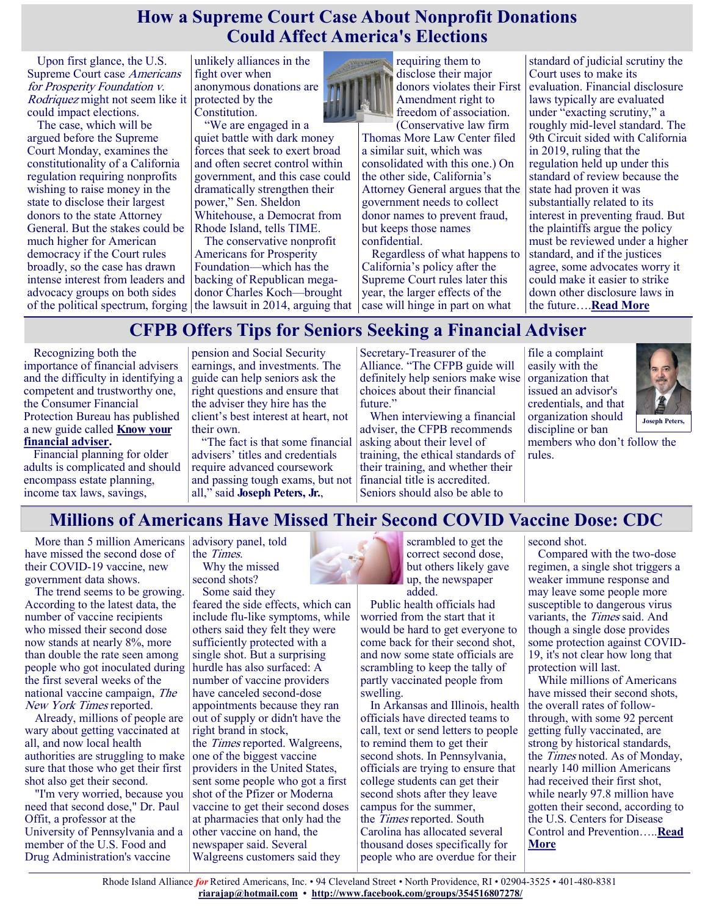#### **How a Supreme Court Case About Nonprofit Donations Could Affect America's Elections**

Upon first glance, the U.S. Supreme Court case Americans for Prosperity Foundation v. Rodriquez might not seem like it could impact elections.

The case, which will be argued before the Supreme Court Monday, examines the constitutionality of a California regulation requiring nonprofits wishing to raise money in the state to disclose their largest donors to the state Attorney General. But the stakes could be much higher for American democracy if the Court rules broadly, so the case has drawn intense interest from leaders and advocacy groups on both sides of the political spectrum, forging the lawsuit in 2014, arguing that  $\vert$  case will hinge in part on what

unlikely alliances in the fight over when anonymous donations are protected by the Constitution.

"We are engaged in a quiet battle with dark money forces that seek to exert broad and often secret control within government, and this case could dramatically strengthen their power," Sen. Sheldon Whitehouse, a Democrat from Rhode Island, tells TIME.

The conservative nonprofit Americans for Prosperity Foundation—which has the backing of Republican megadonor Charles Koch—brought



requiring them to disclose their major donors violates their First Amendment right to freedom of association.

(Conservative law firm Thomas More Law Center filed a similar suit, which was consolidated with this one.) On the other side, California's Attorney General argues that the government needs to collect donor names to prevent fraud, but keeps those names confidential.

Regardless of what happens to California's policy after the Supreme Court rules later this year, the larger effects of the

standard of judicial scrutiny the Court uses to make its evaluation. Financial disclosure laws typically are evaluated under "exacting scrutiny," a roughly mid-level standard. The 9th Circuit sided with California in 2019, ruling that the regulation held up under this standard of review because the state had proven it was substantially related to its interest in preventing fraud. But the plaintiffs argue the policy must be reviewed under a higher standard, and if the justices agree, some advocates worry it could make it easier to strike down other disclosure laws in the future….**[Read More](https://www.msn.com/en-us/news/us/how-a-supreme-court-case-about-nonprofit-donations-could-affect-americas-elections/ar-BB1g1PUZ?ocid=SK2DDHP&li=BBnb7Kz)**

#### **CFPB Offers Tips for Seniors Seeking a Financial Adviser**

Recognizing both the importance of financial advisers and the difficulty in identifying a competent and trustworthy one, the Consumer Financial Protection Bureau has published a new guide called **[Know your](https://u1584542.ct.sendgrid.net/ss/c/1XQbiUZqIgkFRQxQopJGKfm2v5EVD1lNejsrJw6M7M798poSlGHViPUOuhBKrMC4i5sO4EnLZ90j3QHSiDdM2hwvf952tFSighPc1fzVwXLgaubu6_atO58I3d-kS2jdR088OOUbfFIDhIR2lFKqBdFVCIpSQx-T8uv_RNaF4IzRNgTSjksD81gXu08eKEn0suv-AHdhyzVERaaju6G2AWR3QX6HS)  [financial adviser.](https://u1584542.ct.sendgrid.net/ss/c/1XQbiUZqIgkFRQxQopJGKfm2v5EVD1lNejsrJw6M7M798poSlGHViPUOuhBKrMC4i5sO4EnLZ90j3QHSiDdM2hwvf952tFSighPc1fzVwXLgaubu6_atO58I3d-kS2jdR088OOUbfFIDhIR2lFKqBdFVCIpSQx-T8uv_RNaF4IzRNgTSjksD81gXu08eKEn0suv-AHdhyzVERaaju6G2AWR3QX6HS)**

Financial planning for older adults is complicated and should encompass estate planning, income tax laws, savings,

pension and Social Security earnings, and investments. The guide can help seniors ask the right questions and ensure that the adviser they hire has the client's best interest at heart, not their own.

"The fact is that some financial advisers' titles and credentials require advanced coursework and passing tough exams, but not all," said **Joseph Peters, Jr.**,

Secretary-Treasurer of the Alliance. "The CFPB guide will definitely help seniors make wise choices about their financial future."

When interviewing a financial adviser, the CFPB recommends asking about their level of training, the ethical standards of their training, and whether their financial title is accredited. Seniors should also be able to

file a complaint easily with the organization that issued an advisor's credentials, and that organization should discipline or ban



members who don't follow the rules.

#### **Millions of Americans Have Missed Their Second COVID Vaccine Dose: CDC**

More than 5 million Americans advisory panel, told have missed the second dose of their COVID-19 vaccine, new government data shows.

The trend seems to be growing. According to the latest data, the number of vaccine recipients who missed their second dose now stands at nearly 8%, more than double the rate seen among people who got inoculated during the first several weeks of the national vaccine campaign, The New York Times reported.

Already, millions of people are wary about getting vaccinated at all, and now local health authorities are struggling to make sure that those who get their first shot also get their second.

"I'm very worried, because you need that second dose," Dr. Paul Offit, a professor at the University of Pennsylvania and a member of the U.S. Food and Drug Administration's vaccine

the Times. Why the missed

second shots? Some said they

feared the side effects, which can include flu-like symptoms, while others said they felt they were sufficiently protected with a single shot. But a surprising hurdle has also surfaced: A number of vaccine providers have canceled second-dose appointments because they ran out of supply or didn't have the right brand in stock, the Times reported. Walgreens, one of the biggest vaccine providers in the United States, sent some people who got a first shot of the Pfizer or Moderna vaccine to get their second doses at pharmacies that only had the other vaccine on hand, the newspaper said. Several Walgreens customers said they

scrambled to get the correct second dose, but others likely gave up, the newspaper added.

Public health officials had worried from the start that it would be hard to get everyone to come back for their second shot, and now some state officials are scrambling to keep the tally of partly vaccinated people from swelling.

In Arkansas and Illinois, health officials have directed teams to call, text or send letters to people to remind them to get their second shots. In Pennsylvania, officials are trying to ensure that college students can get their second shots after they leave campus for the summer, the Times reported. South Carolina has allocated several thousand doses specifically for people who are overdue for their

second shot.

Compared with the two-dose regimen, a single shot triggers a weaker immune response and may leave some people more susceptible to dangerous virus variants, the Times said. And though a single dose provides some protection against COVID-19, it's not clear how long that protection will last.

While millions of Americans have missed their second shots, the overall rates of followthrough, with some 92 percent getting fully vaccinated, are strong by historical standards, the Times noted. As of Monday, nearly 140 million Americans had received their first shot, while nearly 97.8 million have gotten their second, according to the U.S. Centers for Disease Control and Prevention…..**[Read](https://consumer.healthday.com/4-26-millions-of-americans-have-missed-their-second-covid-vaccine-cdc-2652779135.html)  [More](https://consumer.healthday.com/4-26-millions-of-americans-have-missed-their-second-covid-vaccine-cdc-2652779135.html)**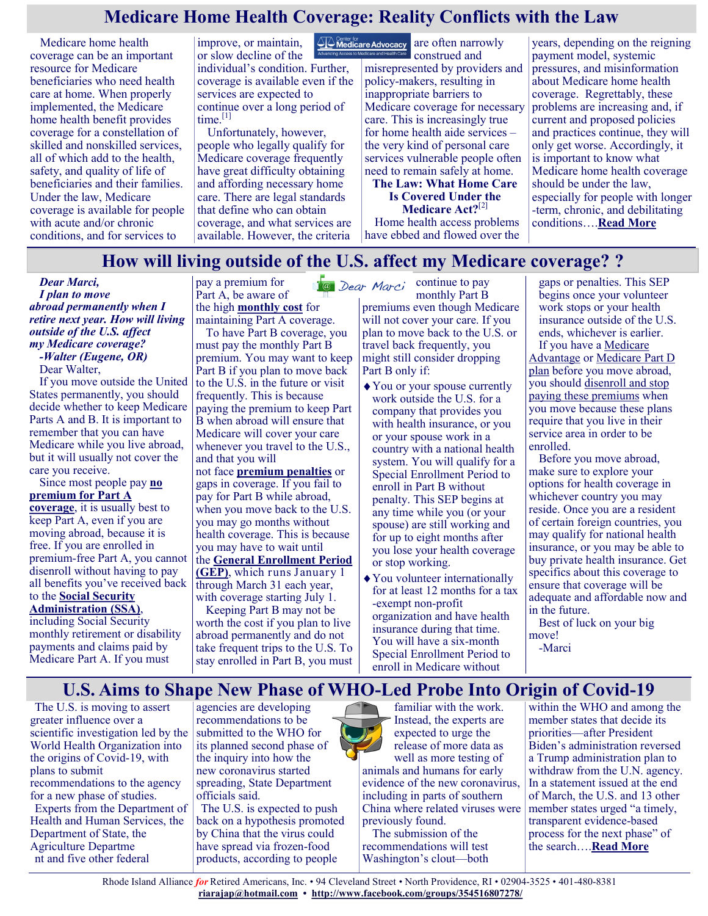#### **Medicare Home Health Coverage: Reality Conflicts with the Law**

Medicare home health coverage can be an important resource for Medicare beneficiaries who need health care at home. When properly implemented, the Medicare home health benefit provides coverage for a constellation of skilled and nonskilled services, all of which add to the health, safety, and quality of life of beneficiaries and their families. Under the law, Medicare coverage is available for people with acute and/or chronic conditions, and for services to

improve, or maintain, or slow decline of the individual's condition. Further, coverage is available even if the services are expected to continue over a long period of time.<sup>[\[1\]](https://medicareadvocacy.org/issue-brief-medicare-home-health-coverage-reality-conflicts-with-the-law/#_edn1)</sup>

Unfortunately, however, people who legally qualify for Medicare coverage frequently have great difficulty obtaining and affording necessary home care. There are legal standards that define who can obtain coverage, and what services are available. However, the criteria

**A Center for Advocacy** are often narrowly construed and misrepresented by providers and policy-makers, resulting in inappropriate barriers to Medicare coverage for necessary care. This is increasingly true for home health aide services – the very kind of personal care services vulnerable people often need to remain safely at home.

**The Law: What Home Care Is Covered Under the Medicare Act?**[\[2\]](https://medicareadvocacy.org/issue-brief-medicare-home-health-coverage-reality-conflicts-with-the-law/#_edn2) Home health access problems have ebbed and flowed over the

years, depending on the reigning payment model, systemic pressures, and misinformation about Medicare home health coverage. Regrettably, these problems are increasing and, if current and proposed policies and practices continue, they will only get worse. Accordingly, it is important to know what Medicare home health coverage should be under the law, especially for people with longer -term, chronic, and debilitating conditions….**[Read More](https://medicareadvocacy.org/issue-brief-medicare-home-health-coverage-reality-conflicts-with-the-law/)**

#### **How will living outside of the U.S. affect my Medicare coverage? ?**

*Dear Marci, I plan to move abroad permanently when I retire next year. How will living outside of the U.S. affect my Medicare coverage? -Walter (Eugene, OR)*

Dear Walter,

If you move outside the United States permanently, you should decide whether to keep Medicare Parts A and B. It is important to remember that you can have Medicare while you live abroad, but it will usually not cover the care you receive.

Since most people pay **[no](https://medicarerights.us15.list-manage.com/track/click?u=1621f54a596f3717c22815356&id=0efa6380b6&e=88d22ba1fe)  [premium for Part A](https://medicarerights.us15.list-manage.com/track/click?u=1621f54a596f3717c22815356&id=0efa6380b6&e=88d22ba1fe)  [coverage](https://medicarerights.us15.list-manage.com/track/click?u=1621f54a596f3717c22815356&id=0efa6380b6&e=88d22ba1fe)**, it is usually best to keep Part A, even if you are

moving abroad, because it is free. If you are enrolled in premium-free Part A, you cannot disenroll without having to pay all benefits you've received back to the **[Social Security](https://medicarerights.us15.list-manage.com/track/click?u=1621f54a596f3717c22815356&id=03791a02a4&e=88d22ba1fe)** 

#### **[Administration \(SSA\)](https://medicarerights.us15.list-manage.com/track/click?u=1621f54a596f3717c22815356&id=03791a02a4&e=88d22ba1fe)**,

including Social Security monthly retirement or disability payments and claims paid by Medicare Part A. If you must

pay a premium for Part A, be aware of the high **[monthly](https://medicarerights.us15.list-manage.com/track/click?u=1621f54a596f3717c22815356&id=eb8f60d596&e=88d22ba1fe) cost** for

maintaining Part A coverage. To have Part B coverage, you must pay the monthly Part B premium. You may want to keep Part B if you plan to move back to the U.S. in the future or visit frequently. This is because paying the premium to keep Part B when abroad will ensure that Medicare will cover your care whenever you travel to the U.S., and that you will

not face **[premium penalties](https://medicarerights.us15.list-manage.com/track/click?u=1621f54a596f3717c22815356&id=fdfa9eb438&e=88d22ba1fe)** or gaps in coverage. If you fail to pay for Part B while abroad, when you move back to the U.S. you may go months without health coverage. This is because you may have to wait until the **[General Enrollment Period](https://medicarerights.us15.list-manage.com/track/click?u=1621f54a596f3717c22815356&id=5cfcc28d21&e=88d22ba1fe)** 

**[\(GEP\)](https://medicarerights.us15.list-manage.com/track/click?u=1621f54a596f3717c22815356&id=5cfcc28d21&e=88d22ba1fe)**, which runs January 1 through March 31 each year, with coverage starting July 1.

Keeping Part B may not be worth the cost if you plan to live abroad permanently and do not take frequent trips to the U.S. To stay enrolled in Part B, you must

**Ca** Dear Marci continue to pay monthly Part B premiums even though Medicare

will not cover your care. If you plan to move back to the U.S. or travel back frequently, you might still consider dropping Part B only if:

- You or your spouse currently work outside the U.S. for a company that provides you with health insurance, or you or your spouse work in a country with a national health system. You will qualify for a Special Enrollment Period to enroll in Part B without penalty. This SEP begins at any time while you (or your spouse) are still working and for up to eight months after you lose your health coverage or stop working.
- You volunteer internationally for at least 12 months for a tax -exempt non-profit organization and have health insurance during that time. You will have a six-month Special Enrollment Period to enroll in Medicare without

gaps or penalties. This SEP begins once your volunteer work stops or your health insurance outside of the U.S. ends, whichever is earlier. If you have a [Medicare](https://medicarerights.us15.list-manage.com/track/click?u=1621f54a596f3717c22815356&id=312047ce97&e=88d22ba1fe) 

[Advantage](https://medicarerights.us15.list-manage.com/track/click?u=1621f54a596f3717c22815356&id=312047ce97&e=88d22ba1fe) or [Medicare Part D](https://medicarerights.us15.list-manage.com/track/click?u=1621f54a596f3717c22815356&id=7bc1176061&e=88d22ba1fe)  [plan](https://medicarerights.us15.list-manage.com/track/click?u=1621f54a596f3717c22815356&id=7bc1176061&e=88d22ba1fe) before you move abroad, you should [disenroll and stop](https://medicarerights.us15.list-manage.com/track/click?u=1621f54a596f3717c22815356&id=9f87ec01ea&e=88d22ba1fe)  [paying these premiums](https://medicarerights.us15.list-manage.com/track/click?u=1621f54a596f3717c22815356&id=9f87ec01ea&e=88d22ba1fe) when you move because these plans require that you live in their service area in order to be enrolled.

Before you move abroad, make sure to explore your options for health coverage in whichever country you may reside. Once you are a resident of certain foreign countries, you may qualify for national health insurance, or you may be able to buy private health insurance. Get specifics about this coverage to ensure that coverage will be adequate and affordable now and in the future.

Best of luck on your big move!

-Marci

### **U.S. Aims to Shape New Phase of WHO-Led Probe Into Origin of Covid-19**

The U.S. is moving to assert greater influence over a scientific investigation led by the World Health Organization into the origins of Covid-19, with plans to submit recommendations to the agency for a new phase of studies. Experts from the Department of Health and Human Services, the Department of State, the Agriculture Departme nt and five other federal

agencies are developing recommendations to be submitted to the WHO for its planned second phase of the inquiry into how the new coronavirus started spreading, State Department officials said.

The U.S. is expected to push back on a hypothesis promoted by China that the virus could have spread via frozen-food products, according to people



familiar with the work. Instead, the experts are expected to urge the release of more data as well as more testing of

animals and humans for early evidence of the new coronavirus, including in parts of southern China where related viruses were previously found.

The submission of the recommendations will test Washington's clout—both

within the WHO and among the member states that decide its priorities—after President Biden's administration reversed a Trump administration plan to withdraw from the U.N. agency. In a statement issued at the end of March, the U.S. and 13 other member states urged "a timely, transparent evidence-based process for the next phase" of the search….**[Read More](https://www.msn.com/en-us/news/us/us-aims-to-shape-new-phase-of-who-led-probe-into-origin-of-covid-19/ar-BB1g7cI8?ocid=SK2DDHP&li=BBnb7Kz)**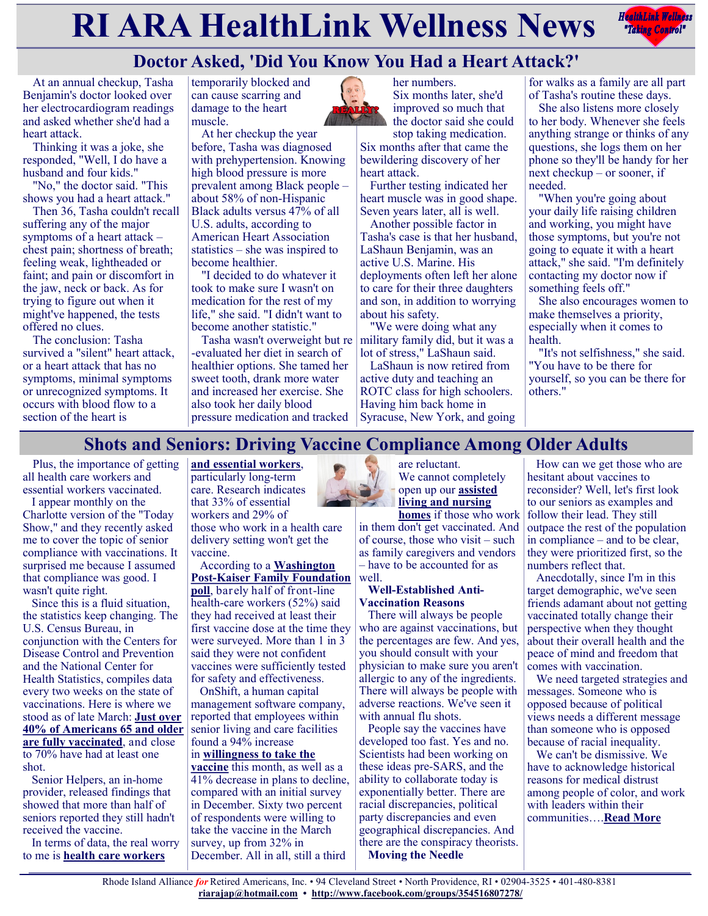# **RIARA HealthLink Wellness News** *Rediction Rediction***ly <b>Rediction Rediction Rediction Rediction Rediction Rediction Rediction Rediction Rediction Rediction Rediction Rediction Rediction Re**



### **Doctor Asked, 'Did You Know You Had a Heart Attack?'**

At an annual checkup, Tasha Benjamin's doctor looked over her electrocardiogram readings and asked whether she'd had a heart attack.

Thinking it was a joke, she responded, "Well, I do have a husband and four kids."

"No," the doctor said. "This shows you had a heart attack."

Then 36, Tasha couldn't recall suffering any of the major symptoms of a heart attack – chest pain; shortness of breath; feeling weak, lightheaded or faint; and pain or discomfort in the jaw, neck or back. As for trying to figure out when it might've happened, the tests offered no clues.

The conclusion: Tasha survived a "silent" heart attack, or a heart attack that has no symptoms, minimal symptoms or unrecognized symptoms. It occurs with blood flow to a section of the heart is

temporarily blocked and can cause scarring and damage to the heart muscle.

At her checkup the year before, Tasha was diagnosed with prehypertension. Knowing high blood pressure is more prevalent among Black people – about 58% of non-Hispanic Black adults versus 47% of all U.S. adults, according to American Heart Association statistics – she was inspired to become healthier.

"I decided to do whatever it took to make sure I wasn't on medication for the rest of my life," she said. "I didn't want to become another statistic."

Tasha wasn't overweight but re -evaluated her diet in search of healthier options. She tamed her sweet tooth, drank more water and increased her exercise. She also took her daily blood pressure medication and tracked



her numbers. Six months later, she'd improved so much that the doctor said she could stop taking medication.

Six months after that came the bewildering discovery of her heart attack.

Further testing indicated her heart muscle was in good shape. Seven years later, all is well.

Another possible factor in Tasha's case is that her husband, LaShaun Benjamin, was an active U.S. Marine. His deployments often left her alone to care for their three daughters and son, in addition to worrying about his safety.

"We were doing what any military family did, but it was a lot of stress," LaShaun said.

LaShaun is now retired from active duty and teaching an ROTC class for high schoolers. Having him back home in Syracuse, New York, and going

for walks as a family are all part of Tasha's routine these days.

She also listens more closely to her body. Whenever she feels anything strange or thinks of any questions, she logs them on her phone so they'll be handy for her next checkup – or sooner, if needed.

"When you're going about your daily life raising children and working, you might have those symptoms, but you're not going to equate it with a heart attack," she said. "I'm definitely contacting my doctor now if something feels off."

She also encourages women to make themselves a priority, especially when it comes to health.

"It's not selfishness," she said. "You have to be there for yourself, so you can be there for others."

#### **Shots and Seniors: Driving Vaccine Compliance Among Older Adults**

Plus, the importance of getting all health care workers and essential workers vaccinated.

I appear monthly on the Charlotte version of the "Today Show," and they recently asked me to cover the topic of senior compliance with vaccinations. It surprised me because I assumed that compliance was good. I wasn't quite right.

Since this is a fluid situation, the statistics keep changing. The U.S. Census Bureau, in conjunction with the Centers for Disease Control and Prevention and the National Center for Health Statistics, compiles data every two weeks on the state of vaccinations. Here is where we stood as of late March: **[Just over](https://covid.cdc.gov/covid-data-tracker/#vaccinations)  [40% of Americans 65 and older](https://covid.cdc.gov/covid-data-tracker/#vaccinations)  [are fully vaccinated](https://covid.cdc.gov/covid-data-tracker/#vaccinations)**, and close to 70% have had at least one shot.

Senior Helpers, an in-home provider, released findings that showed that more than half of seniors reported they still hadn't received the vaccine.

In terms of data, the real worry to me is **[health care workers](https://health.usnews.com/hospital-heroes)** 

**[and essential workers](https://health.usnews.com/hospital-heroes)**, particularly long-term care. Research indicates that 33% of essential workers and 29% of those who work in a health care delivery setting won't get the

vaccine. According to a **[Washington](https://www.washingtonpost.com/context/washington-post-kff-frontline-health-care-workers-survey-feb-11-march-7-2021/ba15a233-9495-47a9-9cdd-e7fa1578b1ca/)  Post-[Kaiser Family Foundation](https://www.washingtonpost.com/context/washington-post-kff-frontline-health-care-workers-survey-feb-11-march-7-2021/ba15a233-9495-47a9-9cdd-e7fa1578b1ca/)  [poll](https://www.washingtonpost.com/context/washington-post-kff-frontline-health-care-workers-survey-feb-11-march-7-2021/ba15a233-9495-47a9-9cdd-e7fa1578b1ca/)**, barely half of front-line health-care workers (52%) said they had received at least their first vaccine dose at the time they were surveyed. More than 1 in 3 said they were not confident vaccines were sufficiently tested for safety and effectiveness.

OnShift, a human capital management software company, reported that employees within senior living and care facilities found a 94% increase

#### in **[willingness to take the](https://health.usnews.com/conditions/coronavirus-and-your-health/covid-19-vaccine-should-i-get-vaccinated)**

**[vaccine](https://health.usnews.com/conditions/coronavirus-and-your-health/covid-19-vaccine-should-i-get-vaccinated)** this month, as well as a 41% decrease in plans to decline, compared with an initial survey in December. Sixty two percent of respondents were willing to take the vaccine in the March survey, up from 32% in December. All in all, still a third



are reluctant. We cannot completely open up our **[assisted](https://health.usnews.com/health-care/conditions/articles/covid-19-testing-in-nursing-homes-and-senior-care-facilities)  [living and nursing](https://health.usnews.com/health-care/conditions/articles/covid-19-testing-in-nursing-homes-and-senior-care-facilities)** 

**[homes](https://health.usnews.com/health-care/conditions/articles/covid-19-testing-in-nursing-homes-and-senior-care-facilities)** if those who work in them don't get vaccinated. And of course, those who visit – such as family caregivers and vendors – have to be accounted for as well.

#### **Well-Established Anti-Vaccination Reasons**

There will always be people who are against vaccinations, but the percentages are few. And yes, you should consult with your physician to make sure you aren't allergic to any of the ingredients. There will always be people with adverse reactions. We've seen it with annual flu shots.

People say the vaccines have developed too fast. Yes and no. Scientists had been working on these ideas pre-SARS, and the ability to collaborate today is exponentially better. There are racial discrepancies, political party discrepancies and even geographical discrepancies. And there are the conspiracy theorists. **Moving the Needle**

How can we get those who are hesitant about vaccines to reconsider? Well, let's first look to our seniors as examples and follow their lead. They still outpace the rest of the population in compliance – and to be clear, they were prioritized first, so the numbers reflect that.

Anecdotally, since I'm in this target demographic, we've seen friends adamant about not getting vaccinated totally change their perspective when they thought about their overall health and the peace of mind and freedom that comes with vaccination.

We need targeted strategies and messages. Someone who is opposed because of political views needs a different message than someone who is opposed because of racial inequality.

We can't be dismissive. We have to acknowledge historical reasons for medical distrust among people of color, and work with leaders within their communities….**[Read More](https://health.usnews.com/health-care/for-better/articles/vaccine-hesitancy-in-seniors)**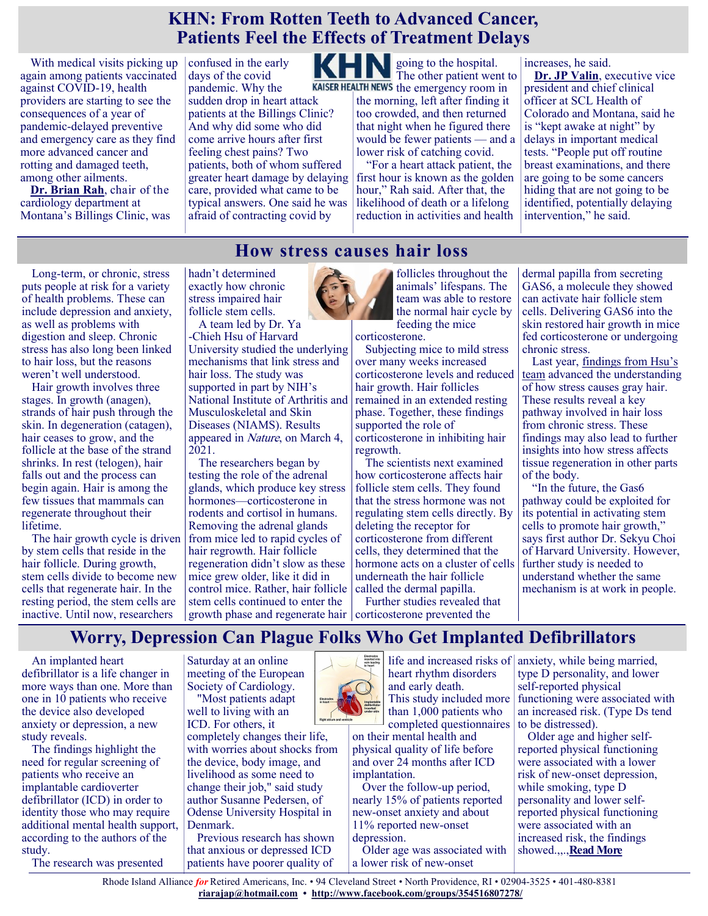#### **KHN: From Rotten Teeth to Advanced Cancer, Patients Feel the Effects of Treatment Delays**

With medical visits picking up again among patients vaccinated against COVID-19, health providers are starting to see the consequences of a year of pandemic-delayed preventive and emergency care as they find more advanced cancer and rotting and damaged teeth, among other ailments.

**[Dr. Brian Rah](https://u1584542.ct.sendgrid.net/ss/c/atcYNHk4Eh2YdGnwBh-YDNtc4qqwipDHvHkG2Mtte6W7RD_bkjDp6UjtmwD0djdblLLmwILWY-6eq0Kjvopd5QQJJ5JwT1hGZNTIDwu1UrUjwyI_q2sSTZh4sVc_IkD0x7NbPxQrYeNmas01Le5QTPzJr7Ru189o0FEQ-kCCLWQ8697MyQji6Gs8oImxctqeHJGL2mWzt0UjpbHLpD6M8qS6MH1bg)**, chair of the cardiology department at Montana's Billings Clinic, was confused in the early days of the covid pandemic. Why the sudden drop in heart attack patients at the Billings Clinic? And why did some who did come arrive hours after first feeling chest pains? Two patients, both of whom suffered greater heart damage by delaying care, provided what came to be typical answers. One said he was afraid of contracting covid by

KHN going to the hospital. The other patient went to KAISER HEALTH NEWS the emergency room in the morning, left after finding it

too crowded, and then returned that night when he figured there would be fewer patients — and a lower risk of catching covid.

"For a heart attack patient, the first hour is known as the golden hour," Rah said. After that, the likelihood of death or a lifelong reduction in activities and health

increases, he said.

**[Dr. JP Valin](https://u1584542.ct.sendgrid.net/ss/c/atcYNHk4Eh2YdGnwBh-YDG5LmuEqXXKKguMOLHW9cgkDoHOqUWvnZjq1ZtKADrxKaqq_l97d9ILi1mk2JUy0VML20IBcvTBQHlHnNkJUrUAvahaIijuUYUbiRoZf4HdGyg2-tqfZhLCyl0hyGZkSh74EbDkC4z7GUOgSUWejM22t6v9T6Usj6iI_8g4Td0t8DoOxz_iUgPNnQdLpyuqtDYEhnA9xq)**, executive vice president and chief clinical officer at SCL Health of Colorado and Montana, said he is "kept awake at night" by delays in important medical tests. "People put off routine breast examinations, and there are going to be some cancers hiding that are not going to be identified, potentially delaying intervention," he said.

#### **How stress causes hair loss**

Long-term, or chronic, stress puts people at risk for a variety of health problems. These can include depression and anxiety, as well as problems with digestion and sleep. Chronic stress has also long been linked to hair loss, but the reasons weren't well understood.

Hair growth involves three stages. In growth (anagen), strands of hair push through the skin. In degeneration (catagen), hair ceases to grow, and the follicle at the base of the strand shrinks. In rest (telogen), hair falls out and the process can begin again. Hair is among the few tissues that mammals can regenerate throughout their lifetime.

The hair growth cycle is driven by stem cells that reside in the hair follicle. During growth, stem cells divide to become new cells that regenerate hair. In the resting period, the stem cells are inactive. Until now, researchers

hadn't determined exactly how chronic stress impaired hair follicle stem cells.

A team led by Dr. Ya -Chieh Hsu of Harvard University studied the underlying mechanisms that link stress and hair loss. The study was supported in part by NIH's National Institute of Arthritis and Musculoskeletal and Skin Diseases (NIAMS). Results appeared in Nature, on March 4, 2021.

The researchers began by testing the role of the adrenal glands, which produce key stress hormones—corticosterone in rodents and cortisol in humans. Removing the adrenal glands from mice led to rapid cycles of hair regrowth. Hair follicle regeneration didn't slow as these mice grew older, like it did in control mice. Rather, hair follicle stem cells continued to enter the growth phase and regenerate hair | corticosterone prevented the



follicles throughout the animals' lifespans. The team was able to restore the normal hair cycle by feeding the mice

corticosterone. Subjecting mice to mild stress over many weeks increased corticosterone levels and reduced hair growth. Hair follicles remained in an extended resting phase. Together, these findings supported the role of corticosterone in inhibiting hair regrowth.

The scientists next examined how corticosterone affects hair follicle stem cells. They found that the stress hormone was not regulating stem cells directly. By deleting the receptor for corticosterone from different cells, they determined that the hormone acts on a cluster of cells underneath the hair follicle called the dermal papilla.

Further studies revealed that

dermal papilla from secreting GAS6, a molecule they showed can activate hair follicle stem cells. Delivering GAS6 into the skin restored hair growth in mice fed corticosterone or undergoing chronic stress.

Last year, findings from Hsu's [team](https://www.nih.gov/news-events/nih-research-matters/how-stress-causes-gray-hair) advanced the understanding of how stress causes gray hair. These results reveal a key pathway involved in hair loss from chronic stress. These findings may also lead to further insights into how stress affects tissue regeneration in other parts of the body.

"In the future, the Gas6 pathway could be exploited for its potential in activating stem cells to promote hair growth," says first author Dr. Sekyu Choi of Harvard University. However, further study is needed to understand whether the same mechanism is at work in people.

#### **Worry, Depression Can Plague Folks Who Get Implanted Defibrillators**

An implanted heart defibrillator is a life changer in more ways than one. More than one in 10 patients who receive the device also developed anxiety or depression, a new study reveals.

The findings highlight the need for regular screening of patients who receive an implantable cardioverter defibrillator (ICD) in order to identity those who may require additional mental health support, according to the authors of the study.

The research was presented

Saturday at an online meeting of the European Society of Cardiology.

"Most patients adapt well to living with an ICD. For others, it

completely changes their life, with worries about shocks from the device, body image, and livelihood as some need to change their job," said study author Susanne Pedersen, of Odense University Hospital in Denmark.

Previous research has shown that anxious or depressed ICD patients have poorer quality of



life and increased risks of heart rhythm disorders and early death. This study included more than 1,000 patients who completed questionnaires

on their mental health and physical quality of life before and over 24 months after ICD implantation.

Over the follow-up period, nearly 15% of patients reported new-onset anxiety and about 11% reported new-onset depression.

Older age was associated with a lower risk of new-onset

anxiety, while being married, type D personality, and lower self-reported physical functioning were associated with an increased risk. (Type Ds tend to be distressed).

Older age and higher selfreported physical functioning were associated with a lower risk of new-onset depression, while smoking, type D personality and lower selfreported physical functioning were associated with an increased risk, the findings showed.,,.,**[Read More](https://consumer.healthday.com/b-4-26-worry-depression-can-plague-patients-who-get-implanted-defibrillators-2652672994.html)**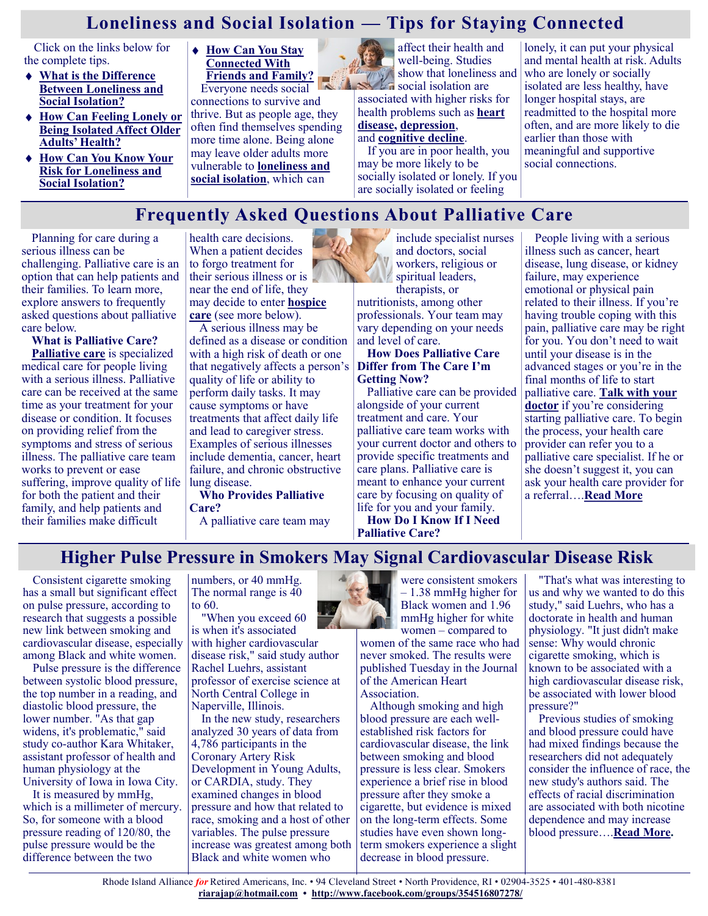### **Loneliness and Social Isolation — Tips for Staying Connected**

Click on the links below for the complete tips.

- **[What is the Difference](https://www.nia.nih.gov/health/loneliness-and-social-isolation-tips-staying-connected#difference)  [Between Loneliness and](https://www.nia.nih.gov/health/loneliness-and-social-isolation-tips-staying-connected#difference)  [Social Isolation?](https://www.nia.nih.gov/health/loneliness-and-social-isolation-tips-staying-connected#difference)**
- **[How Can Feeling Lonely or](https://www.nia.nih.gov/health/loneliness-and-social-isolation-tips-staying-connected#older%20adults)  [Being Isolated Affect Older](https://www.nia.nih.gov/health/loneliness-and-social-isolation-tips-staying-connected#older%20adults)  [Adults' Health?](https://www.nia.nih.gov/health/loneliness-and-social-isolation-tips-staying-connected#older%20adults)**
- **[How Can You Know Your](https://www.nia.nih.gov/health/loneliness-and-social-isolation-tips-staying-connected#risk)  [Risk for Loneliness and](https://www.nia.nih.gov/health/loneliness-and-social-isolation-tips-staying-connected#risk)  [Social Isolation?](https://www.nia.nih.gov/health/loneliness-and-social-isolation-tips-staying-connected#risk)**
- **[How Can You Stay](https://www.nia.nih.gov/health/loneliness-and-social-isolation-tips-staying-connected#stayingconnected)  [Connected With](https://www.nia.nih.gov/health/loneliness-and-social-isolation-tips-staying-connected#stayingconnected)  [Friends and Family?](https://www.nia.nih.gov/health/loneliness-and-social-isolation-tips-staying-connected#stayingconnected)**

Everyone needs social connections to survive and thrive. But as people age, they often find themselves spending more time alone. Being alone may leave older adults more vulnerable to **[loneliness and](https://www.nia.nih.gov/news/social-isolation-loneliness-older-people-pose-health-risks)  [social isolation](https://www.nia.nih.gov/news/social-isolation-loneliness-older-people-pose-health-risks)**, which can



 $\sim$ social isolation are associated with higher risks for health problems such as **[heart](https://www.nia.nih.gov/health/heart-health-and-aging)  [disease,](https://www.nia.nih.gov/health/heart-health-and-aging) [depression](https://www.nia.nih.gov/health/topics/depression)**, and **[cognitive decline](https://www.nia.nih.gov/health/memory-forgetfulness-and-aging-whats-normal-and-whats-not)**.

If you are in poor health, you may be more likely to be socially isolated or lonely. If you are socially isolated or feeling

lonely, it can put your physical and mental health at risk. Adults who are lonely or socially isolated are less healthy, have longer hospital stays, are readmitted to the hospital more often, and are more likely to die earlier than those with meaningful and supportive social connections.

### **Frequently Asked Questions About Palliative Care**

Planning for care during a serious illness can be challenging. Palliative care is an option that can help patients and their families. To learn more, explore answers to frequently asked questions about palliative care below.

**What is Palliative Care? [Palliative care](https://www.nia.nih.gov/health/what-are-palliative-care-and-hospice-care)** is specialized medical care for people living with a serious illness. Palliative care can be received at the same time as your treatment for your disease or condition. It focuses on providing relief from the symptoms and stress of serious illness. The palliative care team works to prevent or ease suffering, improve quality of life for both the patient and their family, and help patients and their families make difficult

health care decisions. When a patient decides to forgo treatment for their serious illness or is near the end of life, they may decide to enter **[hospice](https://www.nia.nih.gov/health/frequently-asked-questions-about-hospice-care)  [care](https://www.nia.nih.gov/health/frequently-asked-questions-about-hospice-care)** (see more below).

A serious illness may be defined as a disease or condition with a high risk of death or one that negatively affects a person's quality of life or ability to perform daily tasks. It may cause symptoms or have treatments that affect daily life and lead to caregiver stress. Examples of serious illnesses include dementia, cancer, heart failure, and chronic obstructive lung disease.

**Who Provides Palliative Care?**

A palliative care team may

include specialist nurses and doctors, social workers, religious or spiritual leaders, therapists, or nutritionists, among other

professionals. Your team may vary depending on your needs and level of care.

#### **How Does Palliative Care Differ from The Care I'm Getting Now?**

Palliative care can be provided alongside of your current treatment and care. Your palliative care team works with your current doctor and others to provide specific treatments and care plans. Palliative care is meant to enhance your current care by focusing on quality of life for you and your family.

**How Do I Know If I Need Palliative Care?**

People living with a serious illness such as cancer, heart disease, lung disease, or kidney failure, may experience emotional or physical pain related to their illness. If you're having trouble coping with this pain, palliative care may be right for you. You don't need to wait until your disease is in the advanced stages or you're in the final months of life to start palliative care. **[Talk with your](https://www.nia.nih.gov/health/what-do-i-need-tell-doctor)  [doctor](https://www.nia.nih.gov/health/what-do-i-need-tell-doctor)** if you're considering starting palliative care. To begin the process, your health care provider can refer you to a palliative care specialist. If he or she doesn't suggest it, you can ask your health care provider for a referral….**[Read More](https://www.nia.nih.gov/health/frequently-asked-questions-about-palliative-care)**

#### **Higher Pulse Pressure in Smokers May Signal Cardiovascular Disease Risk**

Consistent cigarette smoking has a small but significant effect on pulse pressure, according to research that suggests a possible new link between smoking and cardiovascular disease, especially among Black and white women.

Pulse pressure is the difference between systolic blood pressure, the top number in a reading, and diastolic blood pressure, the lower number. "As that gap widens, it's problematic," said study co-author Kara Whitaker, assistant professor of health and human physiology at the University of Iowa in Iowa City.

It is measured by mmHg, which is a millimeter of mercury. So, for someone with a blood pressure reading of 120/80, the pulse pressure would be the difference between the two

numbers, or 40 mmHg. The normal range is 40 to 60.

"When you exceed 60 is when it's associated with higher cardiovascular disease risk," said study author Rachel Luehrs, assistant professor of exercise science at North Central College in Naperville, Illinois.

In the new study, researchers analyzed 30 years of data from 4,786 participants in the Coronary Artery Risk Development in Young Adults, or CARDIA, study. They examined changes in blood pressure and how that related to race, smoking and a host of other variables. The pulse pressure increase was greatest among both Black and white women who



– 1.38 mmHg higher for Black women and 1.96 mmHg higher for white women – compared to

women of the same race who had never smoked. The results were published Tuesday in the Journal of the American Heart Association.

Although smoking and high blood pressure are each wellestablished risk factors for cardiovascular disease, the link between smoking and blood pressure is less clear. Smokers experience a brief rise in blood pressure after they smoke a cigarette, but evidence is mixed on the long-term effects. Some studies have even shown longterm smokers experience a slight decrease in blood pressure.

"That's what was interesting to us and why we wanted to do this study," said Luehrs, who has a doctorate in health and human physiology. "It just didn't make sense: Why would chronic cigarette smoking, which is known to be associated with a high cardiovascular disease risk, be associated with lower blood pressure?"

Previous studies of smoking and blood pressure could have had mixed findings because the researchers did not adequately consider the influence of race, the new study's authors said. The effects of racial discrimination are associated with both nicotine dependence and may increase blood pressure….**[Read More.](https://consumer.healthday.com/aha-news-higher-pulse-pressure-in-smokers-may-signal-cardiovascular-disease-risk-2652793623.html)**